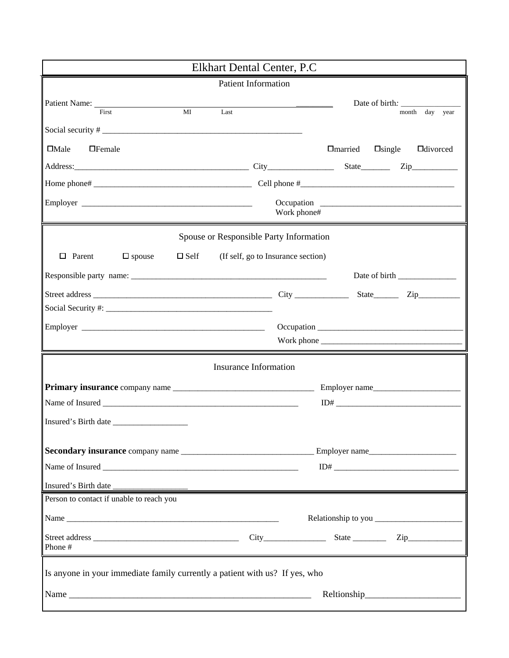|                                                                                                                                                                                                                                       | Elkhart Dental Center, P.C.                    |                                                    |  |
|---------------------------------------------------------------------------------------------------------------------------------------------------------------------------------------------------------------------------------------|------------------------------------------------|----------------------------------------------------|--|
|                                                                                                                                                                                                                                       | <b>Patient Information</b>                     |                                                    |  |
| Patient Name: First<br>MI                                                                                                                                                                                                             | Last                                           | month day year                                     |  |
| $\Box$ Male<br>$\Box$ Female                                                                                                                                                                                                          |                                                | $\Box$ married<br>$\Box$ single<br>$\Box$ divorced |  |
| Home phone#<br><u> Letti phone</u> the manual contract the contract of the contract of the contract of the contract of the contract of the contract of the contract of the contract of the contract of the contract of the contract o |                                                |                                                    |  |
|                                                                                                                                                                                                                                       | Work phone#                                    |                                                    |  |
|                                                                                                                                                                                                                                       | Spouse or Responsible Party Information        |                                                    |  |
| $\Box$ Parent<br>$\square$ spouse                                                                                                                                                                                                     | $\Box$ Self (If self, go to Insurance section) |                                                    |  |
|                                                                                                                                                                                                                                       |                                                |                                                    |  |
|                                                                                                                                                                                                                                       |                                                |                                                    |  |
|                                                                                                                                                                                                                                       |                                                | Work phone                                         |  |
|                                                                                                                                                                                                                                       | <b>Insurance Information</b>                   |                                                    |  |
|                                                                                                                                                                                                                                       |                                                |                                                    |  |
|                                                                                                                                                                                                                                       | ID#                                            |                                                    |  |
| Insured's Birth date                                                                                                                                                                                                                  |                                                |                                                    |  |
|                                                                                                                                                                                                                                       | Employer name                                  |                                                    |  |
|                                                                                                                                                                                                                                       |                                                |                                                    |  |
| Insured's Birth date                                                                                                                                                                                                                  |                                                |                                                    |  |
| Person to contact if unable to reach you                                                                                                                                                                                              |                                                |                                                    |  |
|                                                                                                                                                                                                                                       |                                                |                                                    |  |
| Phone #                                                                                                                                                                                                                               |                                                |                                                    |  |
| Is anyone in your immediate family currently a patient with us? If yes, who                                                                                                                                                           |                                                |                                                    |  |
|                                                                                                                                                                                                                                       |                                                |                                                    |  |